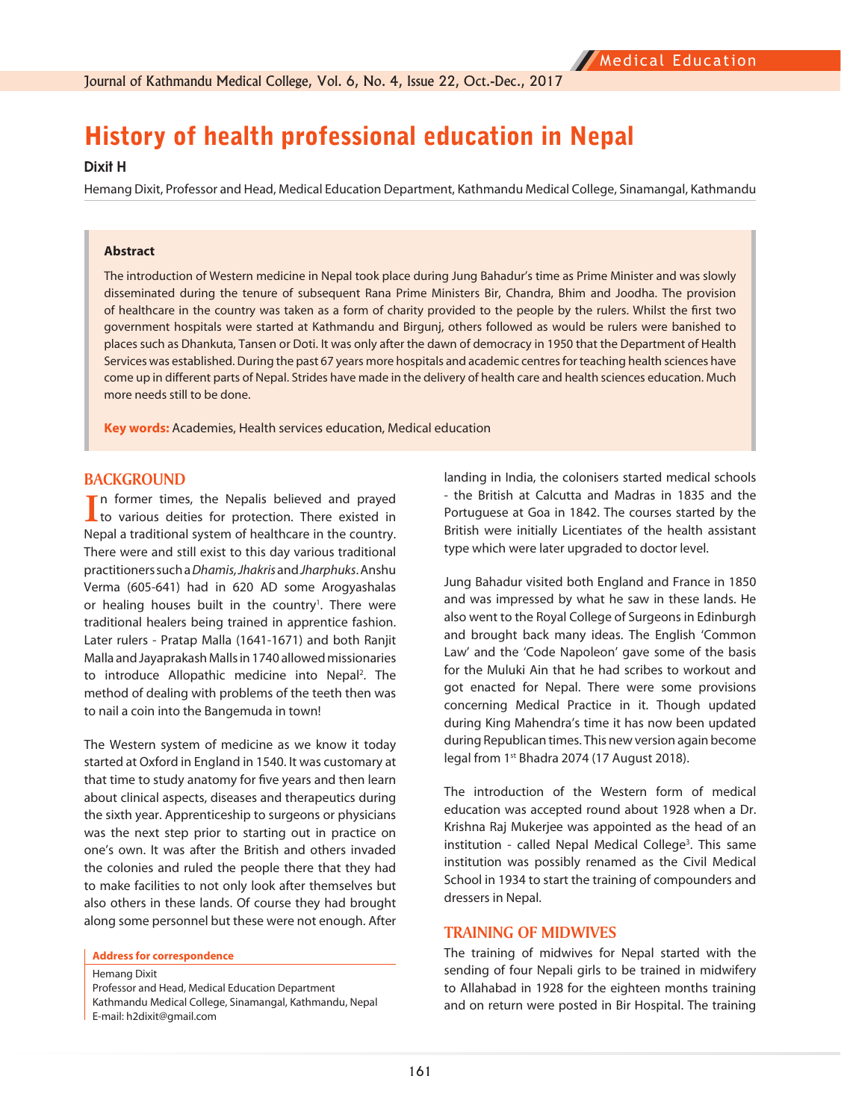# History of health professional education in Nepal

#### **Dixit H**

Hemang Dixit, Professor and Head, Medical Education Department, Kathmandu Medical College, Sinamangal, Kathmandu

#### **Abstract**

The introduction of Western medicine in Nepal took place during Jung Bahadur's time as Prime Minister and was slowly disseminated during the tenure of subsequent Rana Prime Ministers Bir, Chandra, Bhim and Joodha. The provision of healthcare in the country was taken as a form of charity provided to the people by the rulers. Whilst the first two government hospitals were started at Kathmandu and Birgunj, others followed as would be rulers were banished to places such as Dhankuta, Tansen or Doti. It was only after the dawn of democracy in 1950 that the Department of Health Services was established. During the past 67 years more hospitals and academic centres for teaching health sciences have come up in different parts of Nepal. Strides have made in the delivery of health care and health sciences education. Much more needs still to be done.

**Key words:** Academies, Health services education, Medical education

#### **BACKGROUND**

In former times, the Nepalis believed and prayed<br>to various deities for protection. There existed in In former times, the Nepalis believed and prayed Nepal a traditional system of healthcare in the country. There were and still exist to this day various traditional practitioners such a *Dhamis, Jhakris* and *Jharphuks*. Anshu Verma (605-641) had in 620 AD some Arogyashalas or healing houses built in the country<sup>1</sup>. There were traditional healers being trained in apprentice fashion. Later rulers - Pratap Malla (1641-1671) and both Ranjit Malla and Jayaprakash Malls in 1740 allowed missionaries to introduce Allopathic medicine into Nepal<sup>2</sup>. The method of dealing with problems of the teeth then was to nail a coin into the Bangemuda in town!

The Western system of medicine as we know it today started at Oxford in England in 1540. It was customary at that time to study anatomy for five years and then learn about clinical aspects, diseases and therapeutics during the sixth year. Apprenticeship to surgeons or physicians was the next step prior to starting out in practice on one's own. It was after the British and others invaded the colonies and ruled the people there that they had to make facilities to not only look after themselves but also others in these lands. Of course they had brought along some personnel but these were not enough. After

Hemang Dixit

Professor and Head, Medical Education Department Kathmandu Medical College, Sinamangal, Kathmandu, Nepal E-mail: h2dixit@gmail.com

landing in India, the colonisers started medical schools - the British at Calcutta and Madras in 1835 and the Portuguese at Goa in 1842. The courses started by the British were initially Licentiates of the health assistant type which were later upgraded to doctor level.

Jung Bahadur visited both England and France in 1850 and was impressed by what he saw in these lands. He also went to the Royal College of Surgeons in Edinburgh and brought back many ideas. The English 'Common Law' and the 'Code Napoleon' gave some of the basis for the Muluki Ain that he had scribes to workout and got enacted for Nepal. There were some provisions concerning Medical Practice in it. Though updated during King Mahendra's time it has now been updated during Republican times. This new version again become legal from 1<sup>st</sup> Bhadra 2074 (17 August 2018).

The introduction of the Western form of medical education was accepted round about 1928 when a Dr. Krishna Raj Mukerjee was appointed as the head of an institution - called Nepal Medical College<sup>3</sup>. This same institution was possibly renamed as the Civil Medical School in 1934 to start the training of compounders and dressers in Nepal.

#### **TRAINING OF MIDWIVES**

The training of midwives for Nepal started with the sending of four Nepali girls to be trained in midwifery to Allahabad in 1928 for the eighteen months training and on return were posted in Bir Hospital. The training

**Address for correspondence**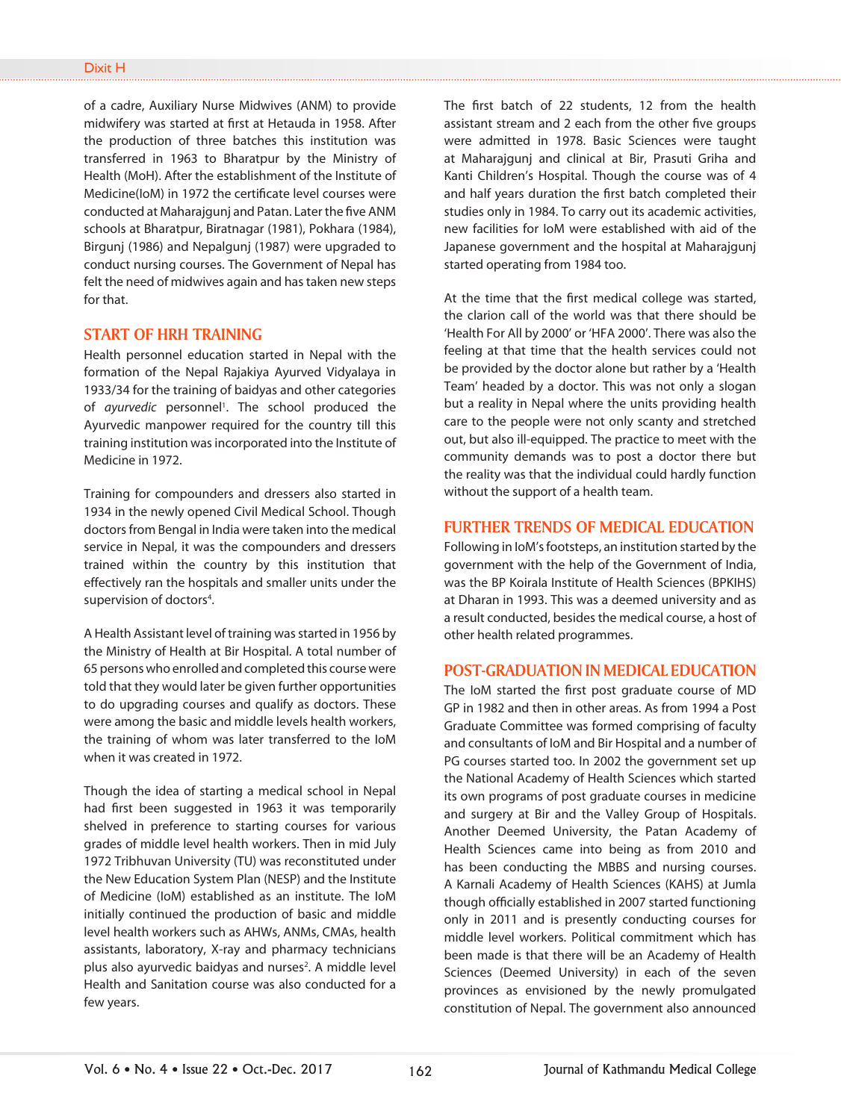of a cadre, Auxiliary Nurse Midwives (ANM) to provide midwifery was started at first at Hetauda in 1958. After the production of three batches this institution was transferred in 1963 to Bharatpur by the Ministry of Health (MoH). After the establishment of the Institute of Medicine(IoM) in 1972 the certificate level courses were conducted at Maharajgunj and Patan. Later the five ANM schools at Bharatpur, Biratnagar (1981), Pokhara (1984), Birgunj (1986) and Nepalgunj (1987) were upgraded to conduct nursing courses. The Government of Nepal has felt the need of midwives again and has taken new steps for that.

# **START OF HRH TRAINING**

Health personnel education started in Nepal with the formation of the Nepal Rajakiya Ayurved Vidyalaya in 1933/34 for the training of baidyas and other categories of *ayurvedic* personnel<sup>1</sup>. The school produced the Ayurvedic manpower required for the country till this training institution was incorporated into the Institute of Medicine in 1972.

Training for compounders and dressers also started in 1934 in the newly opened Civil Medical School. Though doctors from Bengal in India were taken into the medical service in Nepal, it was the compounders and dressers trained within the country by this institution that effectively ran the hospitals and smaller units under the supervision of doctors<sup>4</sup>.

A Health Assistant level of training was started in 1956 by the Ministry of Health at Bir Hospital. A total number of 65 persons who enrolled and completed this course were told that they would later be given further opportunities to do upgrading courses and qualify as doctors. These were among the basic and middle levels health workers, the training of whom was later transferred to the IoM when it was created in 1972.

Though the idea of starting a medical school in Nepal had first been suggested in 1963 it was temporarily shelved in preference to starting courses for various grades of middle level health workers. Then in mid July 1972 Tribhuvan University (TU) was reconstituted under the New Education System Plan (NESP) and the Institute of Medicine (IoM) established as an institute. The IoM initially continued the production of basic and middle level health workers such as AHWs, ANMs, CMAs, health assistants, laboratory, X-ray and pharmacy technicians plus also ayurvedic baidyas and nurses<sup>2</sup>. A middle level Health and Sanitation course was also conducted for a few years.

The first batch of 22 students, 12 from the health assistant stream and 2 each from the other five groups were admitted in 1978. Basic Sciences were taught at Maharajgunj and clinical at Bir, Prasuti Griha and Kanti Children's Hospital. Though the course was of 4 and half years duration the first batch completed their studies only in 1984. To carry out its academic activities, new facilities for IoM were established with aid of the Japanese government and the hospital at Maharajgunj started operating from 1984 too.

At the time that the first medical college was started, the clarion call of the world was that there should be 'Health For All by 2000' or 'HFA 2000'. There was also the feeling at that time that the health services could not be provided by the doctor alone but rather by a 'Health Team' headed by a doctor. This was not only a slogan but a reality in Nepal where the units providing health care to the people were not only scanty and stretched out, but also ill-equipped. The practice to meet with the community demands was to post a doctor there but the reality was that the individual could hardly function without the support of a health team.

# **FURTHER TRENDS OF MEDICAL EDUCATION**

Following in IoM's footsteps, an institution started by the government with the help of the Government of India, was the BP Koirala Institute of Health Sciences (BPKIHS) at Dharan in 1993. This was a deemed university and as a result conducted, besides the medical course, a host of other health related programmes.

### **POST-GRADUATION IN MEDICAL EDUCATION**

The IoM started the first post graduate course of MD GP in 1982 and then in other areas. As from 1994 a Post Graduate Committee was formed comprising of faculty and consultants of IoM and Bir Hospital and a number of PG courses started too. In 2002 the government set up the National Academy of Health Sciences which started its own programs of post graduate courses in medicine and surgery at Bir and the Valley Group of Hospitals. Another Deemed University, the Patan Academy of Health Sciences came into being as from 2010 and has been conducting the MBBS and nursing courses. A Karnali Academy of Health Sciences (KAHS) at Jumla though officially established in 2007 started functioning only in 2011 and is presently conducting courses for middle level workers. Political commitment which has been made is that there will be an Academy of Health Sciences (Deemed University) in each of the seven provinces as envisioned by the newly promulgated constitution of Nepal. The government also announced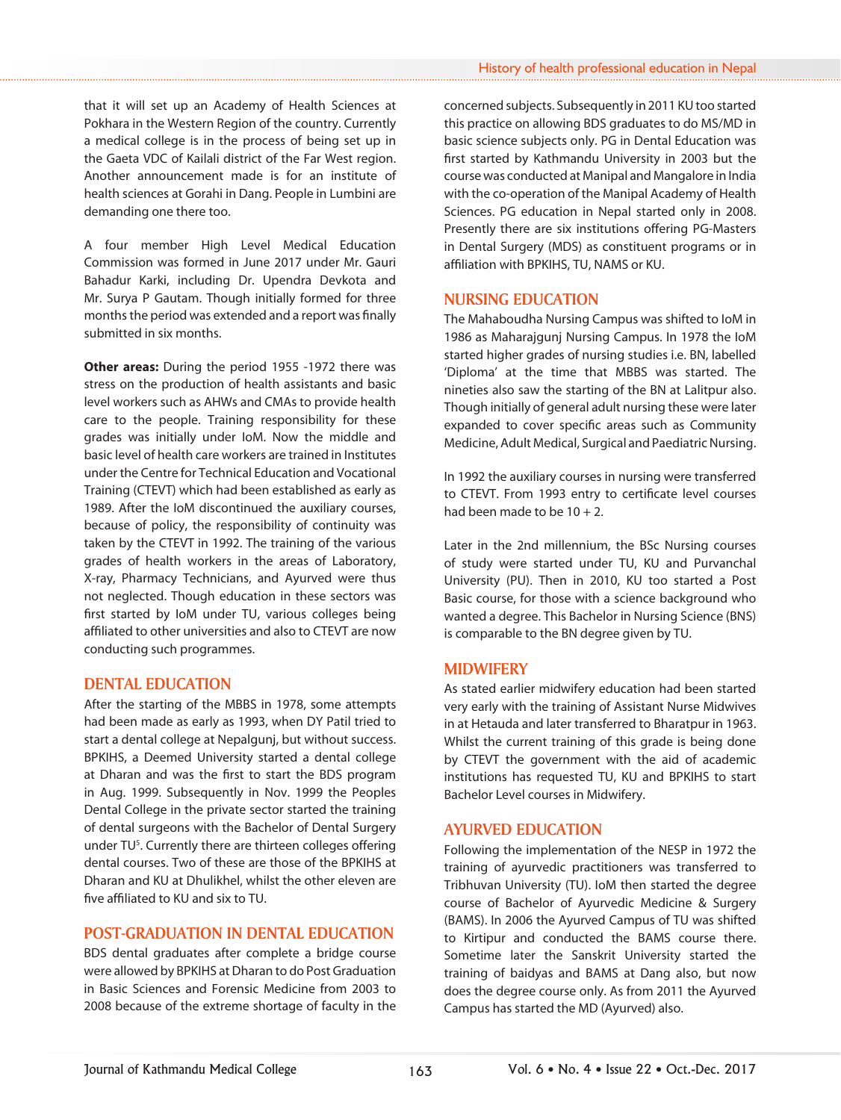that it will set up an Academy of Health Sciences at Pokhara in the Western Region of the country. Currently a medical college is in the process of being set up in the Gaeta VDC of Kailali district of the Far West region. Another announcement made is for an institute of health sciences at Gorahi in Dang. People in Lumbini are demanding one there too.

A four member High Level Medical Education Commission was formed in June 2017 under Mr. Gauri Bahadur Karki, including Dr. Upendra Devkota and Mr. Surya P Gautam. Though initially formed for three months the period was extended and a report was finally submitted in six months.

**Other areas:** During the period 1955 -1972 there was stress on the production of health assistants and basic level workers such as AHWs and CMAs to provide health care to the people. Training responsibility for these grades was initially under IoM. Now the middle and basic level of health care workers are trained in Institutes under the Centre for Technical Education and Vocational Training (CTEVT) which had been established as early as 1989. After the IoM discontinued the auxiliary courses, because of policy, the responsibility of continuity was taken by the CTEVT in 1992. The training of the various grades of health workers in the areas of Laboratory, X-ray, Pharmacy Technicians, and Ayurved were thus not neglected. Though education in these sectors was first started by IoM under TU, various colleges being affiliated to other universities and also to CTEVT are now conducting such programmes.

# **DENTAL EDUCATION**

After the starting of the MBBS in 1978, some attempts had been made as early as 1993, when DY Patil tried to start a dental college at Nepalgunj, but without success. BPKIHS, a Deemed University started a dental college at Dharan and was the first to start the BDS program in Aug. 1999. Subsequently in Nov. 1999 the Peoples Dental College in the private sector started the training of dental surgeons with the Bachelor of Dental Surgery under TU<sup>5</sup>. Currently there are thirteen colleges offering dental courses. Two of these are those of the BPKIHS at Dharan and KU at Dhulikhel, whilst the other eleven are five affiliated to KU and six to TU.

#### **POST-GRADUATION IN DENTAL EDUCATION**

BDS dental graduates after complete a bridge course were allowed by BPKIHS at Dharan to do Post Graduation in Basic Sciences and Forensic Medicine from 2003 to 2008 because of the extreme shortage of faculty in the concerned subjects. Subsequently in 2011 KU too started this practice on allowing BDS graduates to do MS/MD in basic science subjects only. PG in Dental Education was first started by Kathmandu University in 2003 but the course was conducted at Manipal and Mangalore in India with the co-operation of the Manipal Academy of Health Sciences. PG education in Nepal started only in 2008. Presently there are six institutions offering PG-Masters in Dental Surgery (MDS) as constituent programs or in affiliation with BPKIHS, TU, NAMS or KU.

# **NURSING EDUCATION**

The Mahaboudha Nursing Campus was shifted to IoM in 1986 as Maharajgunj Nursing Campus. In 1978 the IoM started higher grades of nursing studies i.e. BN, labelled 'Diploma' at the time that MBBS was started. The nineties also saw the starting of the BN at Lalitpur also. Though initially of general adult nursing these were later expanded to cover specific areas such as Community Medicine, Adult Medical, Surgical and Paediatric Nursing.

In 1992 the auxiliary courses in nursing were transferred to CTEVT. From 1993 entry to certificate level courses had been made to be  $10 + 2$ .

Later in the 2nd millennium, the BSc Nursing courses of study were started under TU, KU and Purvanchal University (PU). Then in 2010, KU too started a Post Basic course, for those with a science background who wanted a degree. This Bachelor in Nursing Science (BNS) is comparable to the BN degree given by TU.

# **MIDWIFERY**

As stated earlier midwifery education had been started very early with the training of Assistant Nurse Midwives in at Hetauda and later transferred to Bharatpur in 1963. Whilst the current training of this grade is being done by CTEVT the government with the aid of academic institutions has requested TU, KU and BPKIHS to start Bachelor Level courses in Midwifery.

#### **AYURVED EDUCATION**

Following the implementation of the NESP in 1972 the training of ayurvedic practitioners was transferred to Tribhuvan University (TU). IoM then started the degree course of Bachelor of Ayurvedic Medicine & Surgery (BAMS). In 2006 the Ayurved Campus of TU was shifted to Kirtipur and conducted the BAMS course there. Sometime later the Sanskrit University started the training of baidyas and BAMS at Dang also, but now does the degree course only. As from 2011 the Ayurved Campus has started the MD (Ayurved) also.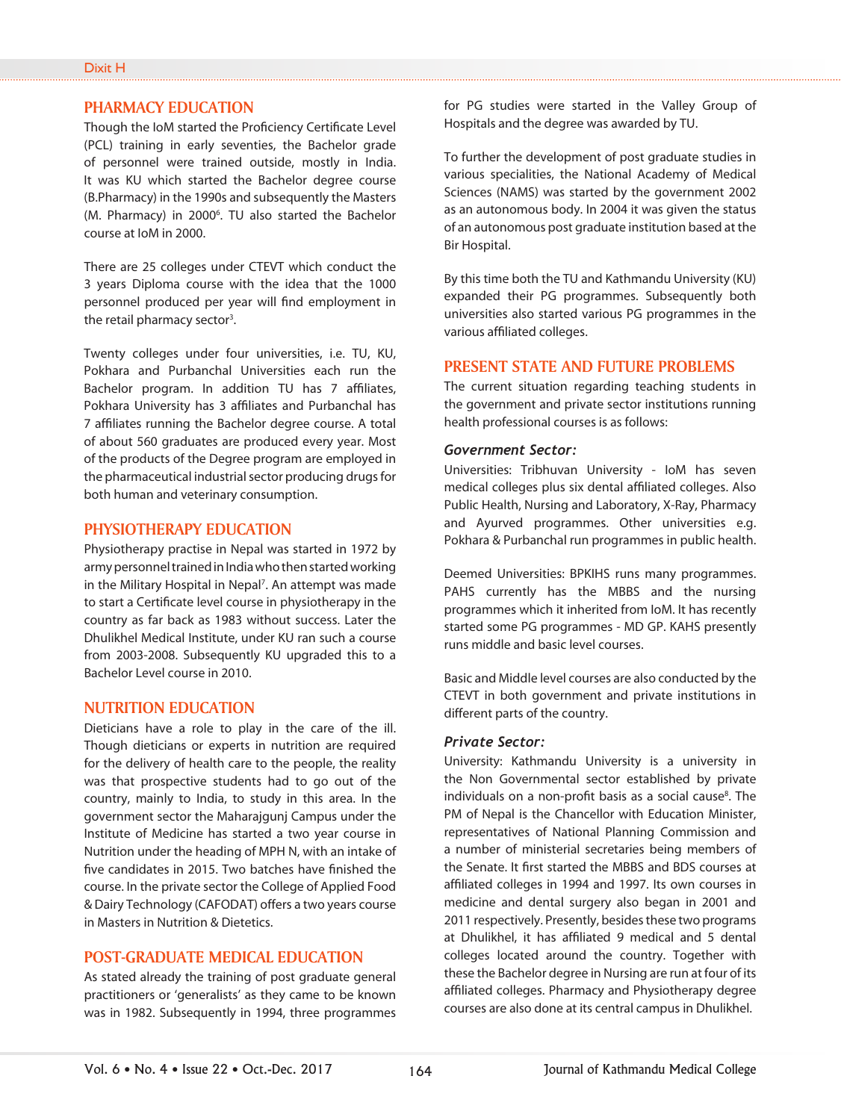#### **PHARMACY EDUCATION**

Though the IoM started the Proficiency Certificate Level (PCL) training in early seventies, the Bachelor grade of personnel were trained outside, mostly in India. It was KU which started the Bachelor degree course (B.Pharmacy) in the 1990s and subsequently the Masters (M. Pharmacy) in 2000<sup>6</sup>. TU also started the Bachelor course at IoM in 2000.

There are 25 colleges under CTEVT which conduct the 3 years Diploma course with the idea that the 1000 personnel produced per year will find employment in the retail pharmacy sector<sup>3</sup>.

Twenty colleges under four universities, i.e. TU, KU, Pokhara and Purbanchal Universities each run the Bachelor program. In addition TU has 7 affiliates, Pokhara University has 3 affiliates and Purbanchal has 7 affiliates running the Bachelor degree course. A total of about 560 graduates are produced every year. Most of the products of the Degree program are employed in the pharmaceutical industrial sector producing drugs for both human and veterinary consumption.

#### **PHYSIOTHERAPY EDUCATION**

Physiotherapy practise in Nepal was started in 1972 by army personnel trained in India who then started working in the Military Hospital in Nepal<sup>7</sup>. An attempt was made to start a Certificate level course in physiotherapy in the country as far back as 1983 without success. Later the Dhulikhel Medical Institute, under KU ran such a course from 2003-2008. Subsequently KU upgraded this to a Bachelor Level course in 2010.

#### **NUTRITION EDUCATION**

Dieticians have a role to play in the care of the ill. Though dieticians or experts in nutrition are required for the delivery of health care to the people, the reality was that prospective students had to go out of the country, mainly to India, to study in this area. In the government sector the Maharajgunj Campus under the Institute of Medicine has started a two year course in Nutrition under the heading of MPH N, with an intake of five candidates in 2015. Two batches have finished the course. In the private sector the College of Applied Food & Dairy Technology (CAFODAT) offers a two years course in Masters in Nutrition & Dietetics.

#### **POST-GRADUATE MEDICAL EDUCATION**

As stated already the training of post graduate general practitioners or 'generalists' as they came to be known was in 1982. Subsequently in 1994, three programmes for PG studies were started in the Valley Group of Hospitals and the degree was awarded by TU.

To further the development of post graduate studies in various specialities, the National Academy of Medical Sciences (NAMS) was started by the government 2002 as an autonomous body. In 2004 it was given the status of an autonomous post graduate institution based at the Bir Hospital.

By this time both the TU and Kathmandu University (KU) expanded their PG programmes. Subsequently both universities also started various PG programmes in the various affiliated colleges.

#### **PRESENT STATE AND FUTURE PROBLEMS**

The current situation regarding teaching students in the government and private sector institutions running health professional courses is as follows:

#### *Government Sector:*

Universities: Tribhuvan University - IoM has seven medical colleges plus six dental affiliated colleges. Also Public Health, Nursing and Laboratory, X-Ray, Pharmacy and Ayurved programmes. Other universities e.g. Pokhara & Purbanchal run programmes in public health.

Deemed Universities: BPKIHS runs many programmes. PAHS currently has the MBBS and the nursing programmes which it inherited from IoM. It has recently started some PG programmes - MD GP. KAHS presently runs middle and basic level courses.

Basic and Middle level courses are also conducted by the CTEVT in both government and private institutions in different parts of the country.

#### *Private Sector:*

University: Kathmandu University is a university in the Non Governmental sector established by private individuals on a non-profit basis as a social cause<sup>8</sup>. The PM of Nepal is the Chancellor with Education Minister, representatives of National Planning Commission and a number of ministerial secretaries being members of the Senate. It first started the MBBS and BDS courses at affiliated colleges in 1994 and 1997. Its own courses in medicine and dental surgery also began in 2001 and 2011 respectively. Presently, besides these two programs at Dhulikhel, it has affiliated 9 medical and 5 dental colleges located around the country. Together with these the Bachelor degree in Nursing are run at four of its affiliated colleges. Pharmacy and Physiotherapy degree courses are also done at its central campus in Dhulikhel.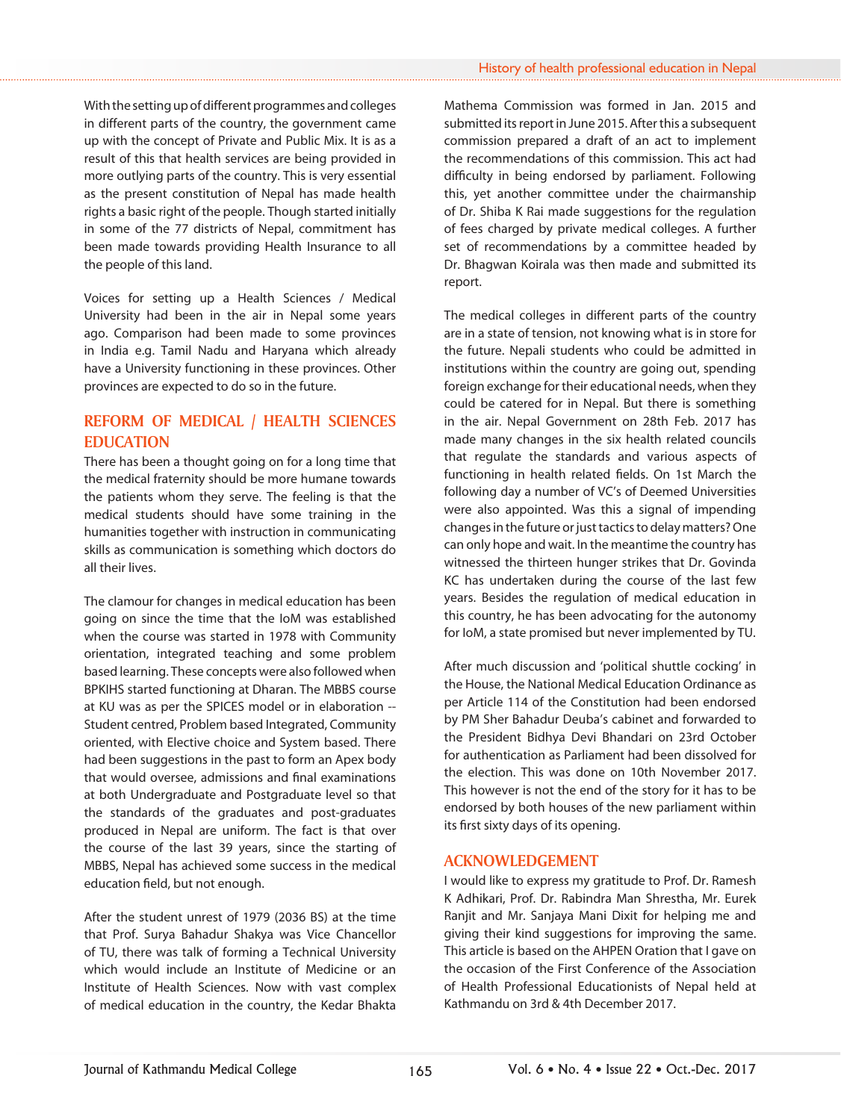With the setting up of different programmes and colleges in different parts of the country, the government came up with the concept of Private and Public Mix. It is as a result of this that health services are being provided in more outlying parts of the country. This is very essential as the present constitution of Nepal has made health rights a basic right of the people. Though started initially in some of the 77 districts of Nepal, commitment has been made towards providing Health Insurance to all the people of this land.

Voices for setting up a Health Sciences / Medical University had been in the air in Nepal some years ago. Comparison had been made to some provinces in India e.g. Tamil Nadu and Haryana which already have a University functioning in these provinces. Other provinces are expected to do so in the future.

# **REFORM OF MEDICAL / HEALTH SCIENCES EDUCATION**

There has been a thought going on for a long time that the medical fraternity should be more humane towards the patients whom they serve. The feeling is that the medical students should have some training in the humanities together with instruction in communicating skills as communication is something which doctors do all their lives.

The clamour for changes in medical education has been going on since the time that the IoM was established when the course was started in 1978 with Community orientation, integrated teaching and some problem based learning. These concepts were also followed when BPKIHS started functioning at Dharan. The MBBS course at KU was as per the SPICES model or in elaboration -- Student centred, Problem based Integrated, Community oriented, with Elective choice and System based. There had been suggestions in the past to form an Apex body that would oversee, admissions and final examinations at both Undergraduate and Postgraduate level so that the standards of the graduates and post-graduates produced in Nepal are uniform. The fact is that over the course of the last 39 years, since the starting of MBBS, Nepal has achieved some success in the medical education field, but not enough.

After the student unrest of 1979 (2036 BS) at the time that Prof. Surya Bahadur Shakya was Vice Chancellor of TU, there was talk of forming a Technical University which would include an Institute of Medicine or an Institute of Health Sciences. Now with vast complex of medical education in the country, the Kedar Bhakta Mathema Commission was formed in Jan. 2015 and submitted its report in June 2015. After this a subsequent commission prepared a draft of an act to implement the recommendations of this commission. This act had difficulty in being endorsed by parliament. Following this, yet another committee under the chairmanship of Dr. Shiba K Rai made suggestions for the regulation of fees charged by private medical colleges. A further set of recommendations by a committee headed by Dr. Bhagwan Koirala was then made and submitted its report.

The medical colleges in different parts of the country are in a state of tension, not knowing what is in store for the future. Nepali students who could be admitted in institutions within the country are going out, spending foreign exchange for their educational needs, when they could be catered for in Nepal. But there is something in the air. Nepal Government on 28th Feb. 2017 has made many changes in the six health related councils that regulate the standards and various aspects of functioning in health related fields. On 1st March the following day a number of VC's of Deemed Universities were also appointed. Was this a signal of impending changes in the future or just tactics to delay matters? One can only hope and wait. In the meantime the country has witnessed the thirteen hunger strikes that Dr. Govinda KC has undertaken during the course of the last few years. Besides the regulation of medical education in this country, he has been advocating for the autonomy for IoM, a state promised but never implemented by TU.

After much discussion and 'political shuttle cocking' in the House, the National Medical Education Ordinance as per Article 114 of the Constitution had been endorsed by PM Sher Bahadur Deuba's cabinet and forwarded to the President Bidhya Devi Bhandari on 23rd October for authentication as Parliament had been dissolved for the election. This was done on 10th November 2017. This however is not the end of the story for it has to be endorsed by both houses of the new parliament within its first sixty days of its opening.

# **ACKNOWLEDGEMENT**

I would like to express my gratitude to Prof. Dr. Ramesh K Adhikari, Prof. Dr. Rabindra Man Shrestha, Mr. Eurek Ranjit and Mr. Sanjaya Mani Dixit for helping me and giving their kind suggestions for improving the same. This article is based on the AHPEN Oration that I gave on the occasion of the First Conference of the Association of Health Professional Educationists of Nepal held at Kathmandu on 3rd & 4th December 2017.